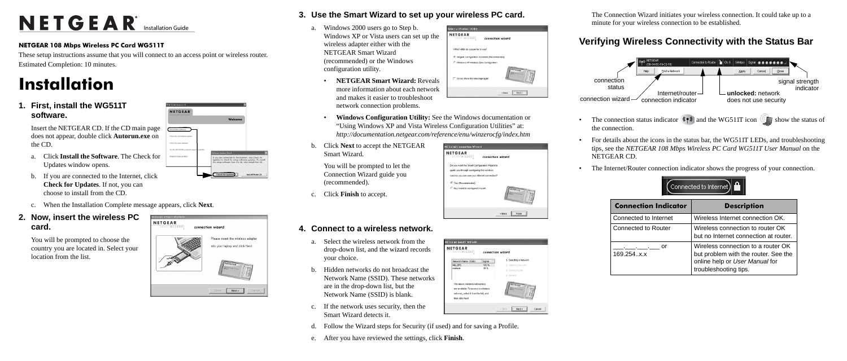# NETGEAR<sup>®</sup> Installation Guide

#### **NETGEAR 108 Mbps Wireless PC Card WG511T**

These setup instructions assume that you will connect to an access point or wireless router. Estimated Completion: 10 minutes.

NETGEAR'

Install the software View the installation galds View the asset manual

De the NETGEAR prod

Welcome

are connected to the Internet, click Check for<br>as to check for setup software updates. To install<br>has software from the CD, click Install from CD.

**Install from CD** 

# **Installation**

**1. First, install the WG511T software.**

> Insert the NETGEAR CD. If the CD main page does not appear, double click **Autorun.exe** on the CD.

- a. Click **Install the Software**. The Check for Updates window opens.
- b. If you are connected to the Internet, click **Check for Updates**. If not, you can choose to install from the CD.
- c. When the Installation Complete message appears, click **Next**.

### **2. Now, insert the wireless PC card.**

You will be prompted to choose the country you are located in. Select your location from the list.



- **3. Use the Smart Wizard to set up your wireless PC card.**
	- a. Windows 2000 users go to Step b. Windows XP or Vista users can set up the wireless adapter either with the NETGEAR Smart Wizard (recommended) or the Windows configuration utility.
		- **NETGEAR Smart Wizard:** Reveals more information about each network and makes it easier to troubleshoot network connection problems.
- .<br>Select a Wireless Utili connection wizar Which utility do you perfer to use F Netgear Configuration Assistant (Recommende Windows XP Winniess Zero Configuratio Do not show this message age  $\prec$ Back [ Next > ]
- NETGEAR
- **Windows Configuration Utility:** See the Windows documentation or "Using Windows XP and Vista Wireless Configuration Utilities" at: *http://documentation.netgear.com/reference/enu/winzerocfg/index.htm*
- b. Click **Next** to accept the NETGEAR Smart Wizard.

You will be prompted to let the Connection Wizard guide you (recommended).

c. Click **Finish** to accept.

## **4. Connect to a wireless network.**

- a. Select the wireless network from the drop-down list, and the wizard records your choice.
- b. Hidden networks do not broadcast the Network Name (SSID). These networks are in the drop-down list, but the Network Name (SSID) is blank.
- c. If the network uses security, then the Smart Wizard detects it.
- d. Follow the Wizard steps for Security (if used) and for saving a Profile.
- e. After you have reviewed the settings, click **Finish**.





| <b>NETGEAR</b>                                |                    |
|-----------------------------------------------|--------------------|
| <b>SMAKIWIZARD</b><br>connection wizard       |                    |
| Do you want the Smart Configuration Wizard to |                    |
| quide you through configuring the wireless    |                    |
| card so you can use your internet connection? |                    |
| C Yes (Recommended)                           |                    |
| No, I want to configure it myself.            |                    |
|                                               | $<$ Back<br>Finish |
|                                               |                    |

connection wizard

.<br>ETGEAR SMART WIZARD

Network Name (SSD) Signal

are available. To access a wireles

network, select it from the list, and then click Next.

NETGEAR

**MILLERS** 

| section?              |  |
|-----------------------|--|
| <b>NITOIAR</b>        |  |
| Finish<br>$\leq$ Back |  |
|                       |  |
|                       |  |
|                       |  |

Selecting a Network

 $[$  Next >

Cancel

2 Applying Securi Saving Profile

The Connection Wizard initiates your wireless connection. It could take up to a minute for your wireless connection to be established.

## **Verifying Wireless Connectivity with the Status Bar**

- the connection.
- NETGEAR CD.
- 

• For details about the icons in the status bar, the WG511T LEDs, and troubleshooting tips, see the *NETGEAR 108 Mbps Wireless PC Card WG511T User Manual* on the

169

• The Internet/Router connection indicator shows the progress of your connection.



| <b>Connection Indicator</b> | <b>Description</b>                                                                                                                    |
|-----------------------------|---------------------------------------------------------------------------------------------------------------------------------------|
| Connected to Internet       | Wireless Internet connection OK.                                                                                                      |
| Connected to Router         | Wireless connection to router OK<br>but no Internet connection at router.                                                             |
| or<br>169.254x.x            | Wireless connection to a router OK<br>but problem with the router. See the<br>online help or User Manual for<br>troubleshooting tips. |

connection status



The connection status indicator  $\langle \cdot, \cdot \rangle$  and the WG511T icon show the status of